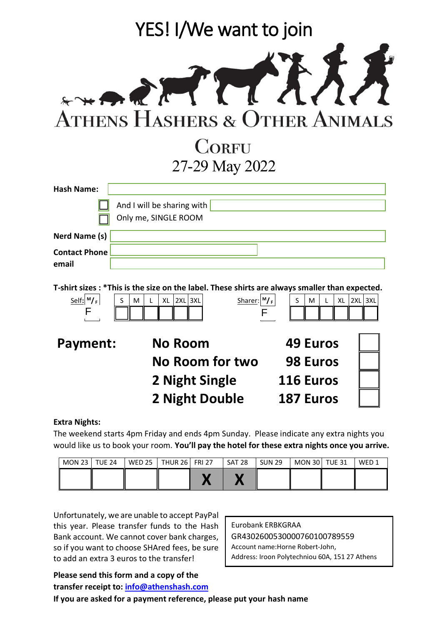|                               | YES! I/We want to join                                                                         |                                  |  |  |  |
|-------------------------------|------------------------------------------------------------------------------------------------|----------------------------------|--|--|--|
|                               | SENTINA<br><b>ATHENS HASHERS &amp; OTHER ANIMALS</b>                                           |                                  |  |  |  |
|                               | <b>CORFU</b>                                                                                   |                                  |  |  |  |
|                               | 27-29 May 2022                                                                                 |                                  |  |  |  |
| <b>Hash Name:</b>             |                                                                                                |                                  |  |  |  |
|                               | And I will be sharing with<br>Only me, SINGLE ROOM                                             |                                  |  |  |  |
| Nerd Name (s)                 |                                                                                                |                                  |  |  |  |
| <b>Contact Phone</b><br>email |                                                                                                |                                  |  |  |  |
|                               | T-shirt sizes : *This is the size on the label. These shirts are always smaller than expected. |                                  |  |  |  |
| $Self: M_F$<br>F              | $Sharer: M_F$<br>$2XL$ $3XL$<br>S<br>XL<br>M<br>L<br>F                                         | $2XL$ $3XL$<br>S<br>XL<br>M<br>L |  |  |  |
| <b>Payment:</b>               | No Room                                                                                        | 49 Euros                         |  |  |  |
|                               | <b>No Room for two</b>                                                                         | <b>98 Euros</b>                  |  |  |  |
|                               | 2 Night Single                                                                                 | <b>116 Euros</b>                 |  |  |  |
|                               | <b>2 Night Double</b>                                                                          | <b>187 Euros</b>                 |  |  |  |
| Evtra Nighte                  |                                                                                                |                                  |  |  |  |

**Extra Nights:**

The weekend starts 4pm Friday and ends 4pm Sunday. Please indicate any extra nights you would like us to book your room. **You'll pay the hotel for these extra nights once you arrive.**

| MON 23   TUE 24 |  | WED 25   THUR 26   FRI 27 | l SAT 28 | SUN 29 | <b>MON 30   TUE 31</b> | WFD <sub>1</sub> |
|-----------------|--|---------------------------|----------|--------|------------------------|------------------|
|                 |  |                           |          |        |                        |                  |

Unfortunately, we are unable to accept PayPal this year. Please transfer funds to the Hash Bank account. We cannot cover bank charges, so if you want to choose SHAred fees, be sure to add an extra 3 euros to the transfer!

Eurobank ERBKGRAA GR4302600530000760100789559 Account name:Horne Robert-John, Address: Iroon Polytechniou 60A, 151 27 Athens

**Please send this form and a copy of the transfer receipt to: [info@athenshash.com](mailto:info@athenshash.com) If you are asked for a payment reference, please put your hash name**